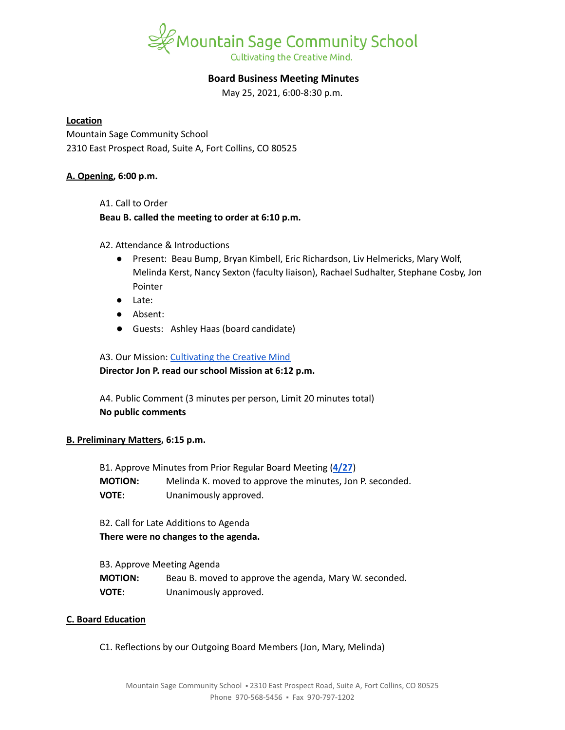

# **Board Business Meeting Minutes**

May 25, 2021, 6:00-8:30 p.m.

### **Location**

Mountain Sage Community School 2310 East Prospect Road, Suite A, Fort Collins, CO 80525

### **A. Opening, 6:00 p.m.**

A1. Call to Order

### **Beau B. called the meeting to order at 6:10 p.m.**

# A2. Attendance & Introductions

- Present: Beau Bump, Bryan Kimbell, Eric Richardson, Liv Helmericks, Mary Wolf, Melinda Kerst, Nancy Sexton (faculty liaison), Rachael Sudhalter, Stephane Cosby, Jon Pointer
- Late:
- Absent:
- Guests: Ashley Haas (board candidate)

# A3. Our Mission: [Cultivating](https://www.mountainsage.org/about-us/mission-and-vision/) the Creative Mind

**Director Jon P. read our school Mission at 6:12 p.m.**

A4. Public Comment (3 minutes per person, Limit 20 minutes total) **No public comments**

# **B. Preliminary Matters, 6:15 p.m.**

| B1. Approve Minutes from Prior Regular Board Meeting (4/27) |                                                           |  |
|-------------------------------------------------------------|-----------------------------------------------------------|--|
| <b>MOTION:</b>                                              | Melinda K. moved to approve the minutes, Jon P. seconded. |  |
| <b>VOTE:</b>                                                | Unanimously approved.                                     |  |

B2. Call for Late Additions to Agenda **There were no changes to the agenda.**

| B3. Approve Meeting Agenda |                                                        |
|----------------------------|--------------------------------------------------------|
| <b>MOTION:</b>             | Beau B. moved to approve the agenda, Mary W. seconded. |
| <b>VOTE:</b>               | Unanimously approved.                                  |

# **C. Board Education**

C1. Reflections by our Outgoing Board Members (Jon, Mary, Melinda)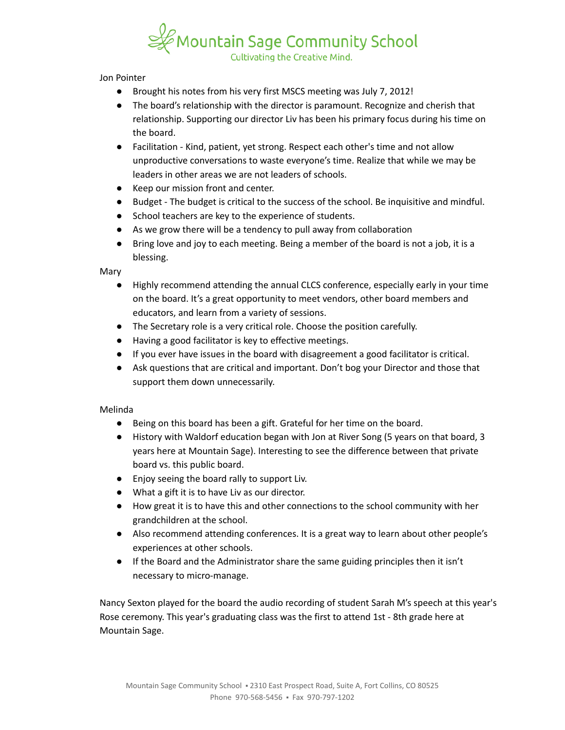

Jon Pointer

- Brought his notes from his very first MSCS meeting was July 7, 2012!
- The board's relationship with the director is paramount. Recognize and cherish that relationship. Supporting our director Liv has been his primary focus during his time on the board.
- Facilitation Kind, patient, yet strong. Respect each other's time and not allow unproductive conversations to waste everyone's time. Realize that while we may be leaders in other areas we are not leaders of schools.
- Keep our mission front and center.
- Budget The budget is critical to the success of the school. Be inquisitive and mindful.
- School teachers are key to the experience of students.
- As we grow there will be a tendency to pull away from collaboration
- Bring love and joy to each meeting. Being a member of the board is not a job, it is a blessing.

Mary

- Highly recommend attending the annual CLCS conference, especially early in your time on the board. It's a great opportunity to meet vendors, other board members and educators, and learn from a variety of sessions.
- The Secretary role is a very critical role. Choose the position carefully.
- Having a good facilitator is key to effective meetings.
- If you ever have issues in the board with disagreement a good facilitator is critical.
- Ask questions that are critical and important. Don't bog your Director and those that support them down unnecessarily.

#### Melinda

- Being on this board has been a gift. Grateful for her time on the board.
- History with Waldorf education began with Jon at River Song (5 years on that board, 3 years here at Mountain Sage). Interesting to see the difference between that private board vs. this public board.
- Enjoy seeing the board rally to support Liv.
- What a gift it is to have Liv as our director.
- How great it is to have this and other connections to the school community with her grandchildren at the school.
- Also recommend attending conferences. It is a great way to learn about other people's experiences at other schools.
- If the Board and the Administrator share the same guiding principles then it isn't necessary to micro-manage.

Nancy Sexton played for the board the audio recording of student Sarah M's speech at this year's Rose ceremony. This year's graduating class was the first to attend 1st - 8th grade here at Mountain Sage.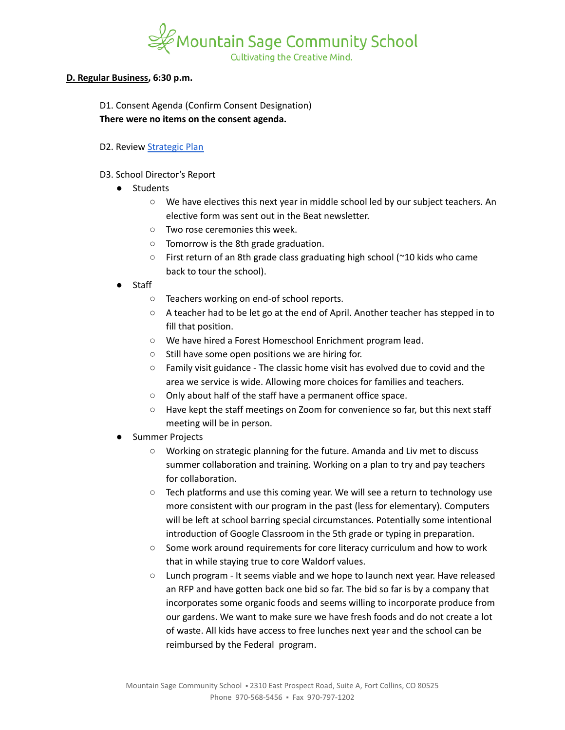

### **D. Regular Business, 6:30 p.m.**

D1. Consent Agenda (Confirm Consent Designation) **There were no items on the consent agenda.**

- D2. Review [Strategic](https://docs.google.com/spreadsheets/d/1ZcsDhIjaJBoVOI2OMPaYkghgZi_yR7rn31ELgbvqf3E/view) Plan
- D3. School Director's Report
	- Students
		- We have electives this next year in middle school led by our subject teachers. An elective form was sent out in the Beat newsletter.
		- Two rose ceremonies this week.
		- Tomorrow is the 8th grade graduation.
		- First return of an 8th grade class graduating high school ( $\approx$ 10 kids who came back to tour the school).
	- **Staff** 
		- Teachers working on end-of school reports.
		- $\circ$  A teacher had to be let go at the end of April. Another teacher has stepped in to fill that position.
		- We have hired a Forest Homeschool Enrichment program lead.
		- Still have some open positions we are hiring for.
		- Family visit guidance The classic home visit has evolved due to covid and the area we service is wide. Allowing more choices for families and teachers.
		- Only about half of the staff have a permanent office space.
		- Have kept the staff meetings on Zoom for convenience so far, but this next staff meeting will be in person.
	- **Summer Projects** 
		- Working on strategic planning for the future. Amanda and Liv met to discuss summer collaboration and training. Working on a plan to try and pay teachers for collaboration.
		- $\circ$  Tech platforms and use this coming year. We will see a return to technology use more consistent with our program in the past (less for elementary). Computers will be left at school barring special circumstances. Potentially some intentional introduction of Google Classroom in the 5th grade or typing in preparation.
		- Some work around requirements for core literacy curriculum and how to work that in while staying true to core Waldorf values.
		- Lunch program It seems viable and we hope to launch next year. Have released an RFP and have gotten back one bid so far. The bid so far is by a company that incorporates some organic foods and seems willing to incorporate produce from our gardens. We want to make sure we have fresh foods and do not create a lot of waste. All kids have access to free lunches next year and the school can be reimbursed by the Federal program.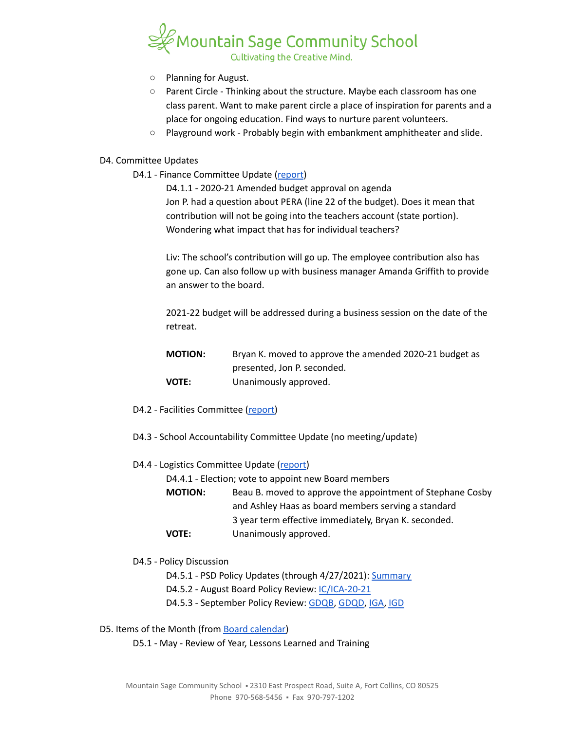

- Planning for August.
- Parent Circle Thinking about the structure. Maybe each classroom has one class parent. Want to make parent circle a place of inspiration for parents and a place for ongoing education. Find ways to nurture parent volunteers.
- Playground work Probably begin with embankment amphitheater and slide.

### D4. Committee Updates

D4.1 - Finance Committee Update ([report](https://docs.google.com/document/d/1LgrXmuacIY-YkA9PgSQmOVVgiAuPx9Xn9WbI6NLsrj8/edit?usp=sharing))

D4.1.1 - 2020-21 Amended budget approval on agenda Jon P. had a question about PERA (line 22 of the budget). Does it mean that contribution will not be going into the teachers account (state portion). Wondering what impact that has for individual teachers?

Liv: The school's contribution will go up. The employee contribution also has gone up. Can also follow up with business manager Amanda Griffith to provide an answer to the board.

2021-22 budget will be addressed during a business session on the date of the retreat.

| <b>MOTION:</b> | Bryan K. moved to approve the amended 2020-21 budget as |
|----------------|---------------------------------------------------------|
|                | presented, Jon P. seconded.                             |
| VOTE:          | Unanimously approved.                                   |

- D4.2 Facilities Committee [\(report\)](https://docs.google.com/document/d/1gVBGYEa-MH1U_VYI5qbmBtQ3yN7h-THD0zo2nDk-OvY/edit?usp=sharing)
- D4.3 School Accountability Committee Update (no meeting/update)
- D4.4 Logistics Committee Update ([report](https://docs.google.com/document/d/1T2gI4hTSSJB8RyrkoZghQ1XGtEs6tY1yess6vFaqBaA/edit?usp=sharing))

D4.4.1 - Election; vote to appoint new Board members

**MOTION:** Beau B. moved to approve the appointment of Stephane Cosby and Ashley Haas as board members serving a standard 3 year term effective immediately, Bryan K. seconded. **VOTE:** Unanimously approved.

D4.5 - Policy Discussion

- D4.5.1 PSD Policy Updates (through 4/27/2021): [Summary](https://docs.google.com/document/d/1LWtSUWjIbm9sUOCkYaGjE9SGpJlKbLctpr4sy84MdjY/edit?usp=sharing)
- D4.5.2 August Board Policy Review: [IC/ICA-20-21](https://docs.google.com/document/d/1vYwedJYcHq6j04mLqMZ8YIONGwVQBzBu7vgCSZ_N1o8)
- D4.5.3 September Policy Review: [GDQB,](https://docs.google.com/document/d/1v4tGD07QFE56LKxTItzfu02rLfKRePcJk07Ao1XmLRg) [GDQD,](https://drive.google.com/open?id=1Ewwb0RIPZasF4ZmW7YUI-MQyvjgK7_aGBF7_874vNm8) [IGA](https://drive.google.com/open?id=17V0SGbIQdLADRZ5pwr_sr0Dl9RI-k8U9fvpsVhO2Cso), [IGD](https://drive.google.com/open?id=1dp0fAXOoFv1_XlJI0FYOgRRxLkpDFmdC1HH8hRpezBg)

D5. Items of the Month (from Board [calendar\)](https://docs.google.com/document/d/12S6s-qevYMsnj8Cr2yw6uMO7S7hL3gz2oKvXZk5ZndQ/edit?usp=sharing)

D5.1 - May - Review of Year, Lessons Learned and Training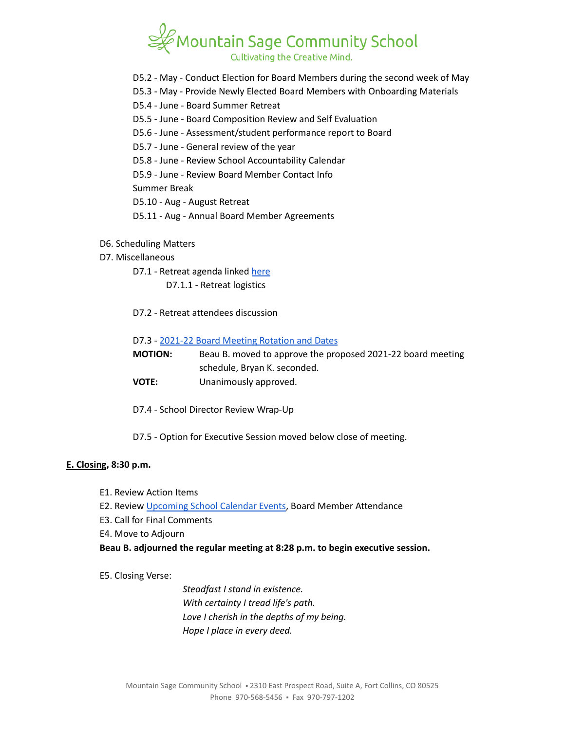

- D5.2 May Conduct Election for Board Members during the second week of May
- D5.3 May Provide Newly Elected Board Members with Onboarding Materials
- D5.4 June Board Summer Retreat
- D5.5 June Board Composition Review and Self Evaluation
- D5.6 June Assessment/student performance report to Board
- D5.7 June General review of the year
- D5.8 June Review School Accountability Calendar
- D5.9 June Review Board Member Contact Info

Summer Break

D5.10 - Aug - August Retreat

- D5.11 Aug Annual Board Member Agreements
- D6. Scheduling Matters
- D7. Miscellaneous
	- D7.1 Retreat agenda linked [here](https://docs.google.com/document/d/1al6Wf6E5dcKBOmHwp8cZjzjfoswoyltKJTnE9mWddNQ/edit?usp=sharing) D7.1.1 - Retreat logistics
	- D7.2 Retreat attendees discussion

#### D7.3 - 2021-22 Board Meeting [Rotation](https://docs.google.com/spreadsheets/d/1PuD68cEx5_6meDde-CYMAhzE72YI3h44im0U24Vb0GE/edit?usp=sharing) and Dates

| <b>MOTION:</b> | Beau B. moved to approve the proposed 2021-22 board meeting |
|----------------|-------------------------------------------------------------|
|                | schedule, Bryan K. seconded.                                |
| <b>VOTE:</b>   | Unanimously approved.                                       |

- D7.4 School Director Review Wrap-Up
- D7.5 Option for Executive Session moved below close of meeting.

#### **E. Closing, 8:30 p.m.**

- E1. Review Action Items
- E2. Review [Upcoming](https://www.mountainsage.org/calendars/) School Calendar Events, Board Member Attendance
- E3. Call for Final Comments
- E4. Move to Adjourn

**Beau B. adjourned the regular meeting at 8:28 p.m. to begin executive session.**

E5. Closing Verse:

*Steadfast I stand in existence. With certainty I tread life's path. Love I cherish in the depths of my being. Hope I place in every deed.*